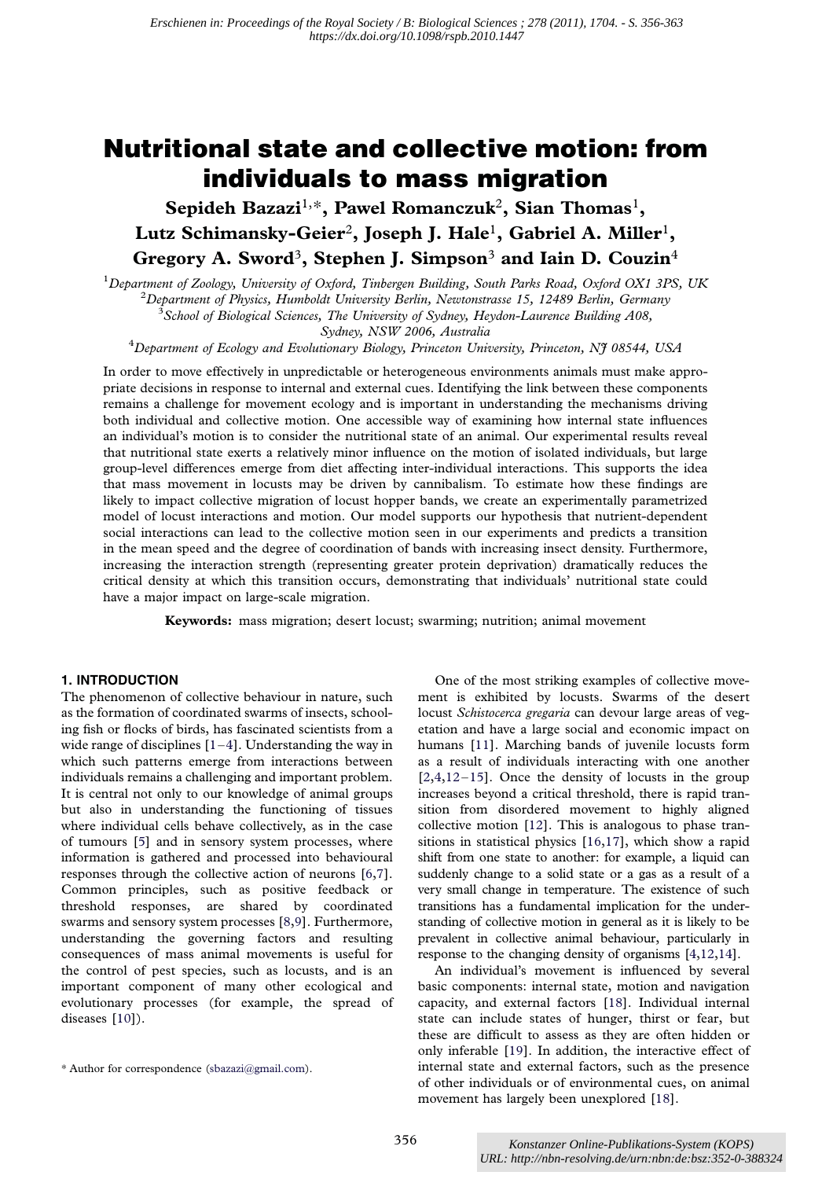# Nutritional state and collective motion: from individuals to mass migration

Sepideh Bazazi $^{1,*}$ , Pawel Romanczuk $^{2}$ , Sian Thomas $^{1}$ , Lutz Schimansky-Geier<sup>2</sup>, Joseph J. Hale<sup>1</sup>, Gabriel A. Miller<sup>1</sup>, Gregory A. Sword<sup>3</sup>, Stephen J. Simpson<sup>3</sup> and Iain D. Couzin<sup>4</sup>

<sup>1</sup>Department of Zoology, University of Oxford, Tinbergen Building, South Parks Road, Oxford OX1 3PS, UK<br><sup>2</sup>Department of Physics, Humboldt University Reglin, Negatonstrasse 15, 12489 Berlin, Germany

<sup>2</sup>Department of Physics, Humboldt University Berlin, Newtonstrasse 15, 12489 Berlin, Germany

School of Biological Sciences, The University of Sydney, Heydon-Laurence Building A08,

Sydney, NSW 2006, Australia<br><sup>4</sup>Department of Ecology and Evolutionary Biology, Princeton University, Princeton, NJ 08544, USA

In order to move effectively in unpredictable or heterogeneous environments animals must make appropriate decisions in response to internal and external cues. Identifying the link between these components remains a challenge for movement ecology and is important in understanding the mechanisms driving both individual and collective motion. One accessible way of examining how internal state influences an individual's motion is to consider the nutritional state of an animal. Our experimental results reveal that nutritional state exerts a relatively minor influence on the motion of isolated individuals, but large group-level differences emerge from diet affecting inter-individual interactions. This supports the idea that mass movement in locusts may be driven by cannibalism. To estimate how these findings are likely to impact collective migration of locust hopper bands, we create an experimentally parametrized model of locust interactions and motion. Our model supports our hypothesis that nutrient-dependent social interactions can lead to the collective motion seen in our experiments and predicts a transition in the mean speed and the degree of coordination of bands with increasing insect density. Furthermore, increasing the interaction strength (representing greater protein deprivation) dramatically reduces the critical density at which this transition occurs, demonstrating that individuals' nutritional state could have a major impact on large-scale migration.

Keywords: mass migration; desert locust; swarming; nutrition; animal movement

# 1. INTRODUCTION

The phenomenon of collective behaviour in nature, such as the formation of coordinated swarms of insects, schooling fish or flocks of birds, has fascinated scientists from a wide range of disciplines  $[1-4]$ . Understanding the way in which such patterns emerge from interactions between individuals remains a challenging and important problem. It is central not only to our knowledge of animal groups but also in understanding the functioning of tissues where individual cells behave collectively, as in the case of tumours [5] and in sensory system processes, where information is gathered and processed into behavioural responses through the collective action of neurons [6,7]. Common principles, such as positive feedback or threshold responses, are shared by coordinated swarms and sensory system processes [8,9]. Furthermore, understanding the governing factors and resulting consequences of mass animal movements is useful for the control of pest species, such as locusts, and is an important component of many other ecological and evolutionary processes (for example, the spread of diseases [10]).

One of the most striking examples of collective movement is exhibited by locusts. Swarms of the desert locust Schistocerca gregaria can devour large areas of vegetation and have a large social and economic impact on humans [11]. Marching bands of juvenile locusts form as a result of individuals interacting with one another  $[2,4,12-15]$ . Once the density of locusts in the group increases beyond a critical threshold, there is rapid transition from disordered movement to highly aligned collective motion [12]. This is analogous to phase transitions in statistical physics [16,17], which show a rapid shift from one state to another: for example, a liquid can suddenly change to a solid state or a gas as a result of a very small change in temperature. The existence of such transitions has a fundamental implication for the understanding of collective motion in general as it is likely to be prevalent in collective animal behaviour, particularly in response to the changing density of organisms [4,12,14].

An individual's movement is influenced by several basic components: internal state, motion and navigation capacity, and external factors [18]. Individual internal state can include states of hunger, thirst or fear, but these are difficult to assess as they are often hidden or only inferable [19]. In addition, the interactive effect of internal state and external factors, such as the presence of other individuals or of environmental cues, on animal movement has largely been unexplored [18].

<sup>\*</sup> Author for correspondence (sbazazi@gmail.com).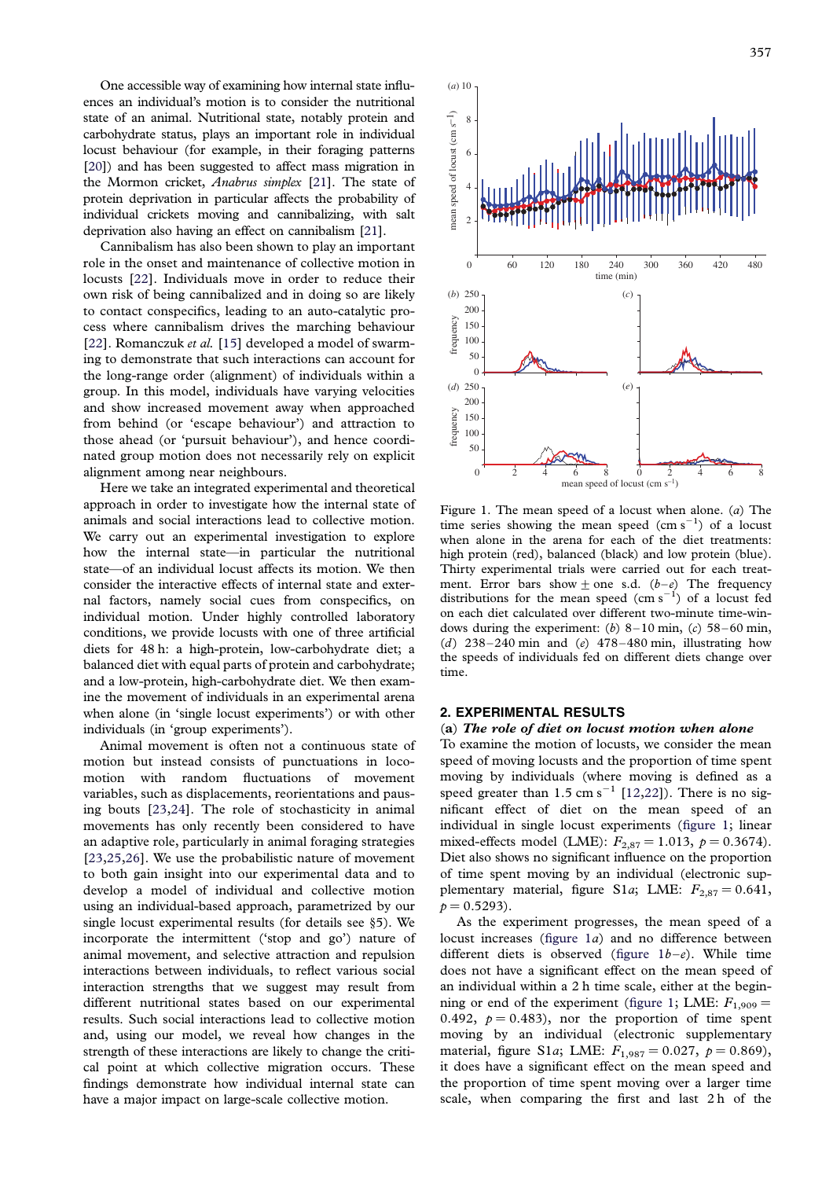One accessible way of examining how internal state influences an individual's motion is to consider the nutritional state of an animal. Nutritional state, notably protein and carbohydrate status, plays an important role in individual locust behaviour (for example, in their foraging patterns [20]) and has been suggested to affect mass migration in the Mormon cricket, Anabrus simplex [21]. The state of protein deprivation in particular affects the probability of individual crickets moving and cannibalizing, with salt deprivation also having an effect on cannibalism [21].

Cannibalism has also been shown to play an important role in the onset and maintenance of collective motion in locusts [22]. Individuals move in order to reduce their own risk of being cannibalized and in doing so are likely to contact conspecifics, leading to an auto-catalytic process where cannibalism drives the marching behaviour [22]. Romanczuk et al. [15] developed a model of swarming to demonstrate that such interactions can account for the long-range order (alignment) of individuals within a group. In this model, individuals have varying velocities and show increased movement away when approached from behind (or 'escape behaviour') and attraction to those ahead (or 'pursuit behaviour'), and hence coordinated group motion does not necessarily rely on explicit alignment among near neighbours.

Here we take an integrated experimental and theoretical approach in order to investigate how the internal state of animals and social interactions lead to collective motion. We carry out an experimental investigation to explore how the internal state—in particular the nutritional state—of an individual locust affects its motion. We then consider the interactive effects of internal state and external factors, namely social cues from conspecifics, on individual motion. Under highly controlled laboratory conditions, we provide locusts with one of three artificial diets for 48 h: a high-protein, low-carbohydrate diet; a balanced diet with equal parts of protein and carbohydrate; and a low-protein, high-carbohydrate diet. We then examine the movement of individuals in an experimental arena when alone (in 'single locust experiments') or with other individuals (in 'group experiments').

Animal movement is often not a continuous state of motion but instead consists of punctuations in locomotion with random fluctuations of movement variables, such as displacements, reorientations and pausing bouts [23,24]. The role of stochasticity in animal movements has only recently been considered to have an adaptive role, particularly in animal foraging strategies [23,25,26]. We use the probabilistic nature of movement to both gain insight into our experimental data and to develop a model of individual and collective motion using an individual-based approach, parametrized by our single locust experimental results (for details see §5). We incorporate the intermittent ('stop and go') nature of animal movement, and selective attraction and repulsion interactions between individuals, to reflect various social interaction strengths that we suggest may result from different nutritional states based on our experimental results. Such social interactions lead to collective motion and, using our model, we reveal how changes in the strength of these interactions are likely to change the critical point at which collective migration occurs. These findings demonstrate how individual internal state can have a major impact on large-scale collective motion.



Figure 1. The mean speed of a locust when alone. (a) The time series showing the mean speed  $\rm (cm~s^{-1})$  of a locust when alone in the arena for each of the diet treatments: high protein (red), balanced (black) and low protein (blue). Thirty experimental trials were carried out for each treatment. Error bars show  $\pm$  one s.d. (b–e) The frequency distributions for the mean speed  $(\text{cm s}^{-1})$  of a locust fed on each diet calculated over different two-minute time-windows during the experiment: (b)  $8-10$  min, (c)  $58-60$  min, (d)  $238 - 240$  min and (e)  $478 - 480$  min, illustrating how the speeds of individuals fed on different diets change over time.

## 2. EXPERIMENTAL RESULTS

## (a) The role of diet on locust motion when alone

To examine the motion of locusts, we consider the mean speed of moving locusts and the proportion of time spent moving by individuals (where moving is defined as a speed greater than  $1.5 \text{ cm s}^{-1}$  [12,22]). There is no significant effect of diet on the mean speed of an individual in single locust experiments (figure 1; linear mixed-effects model (LME):  $F_{2,87} = 1.013$ ,  $p = 0.3674$ ). Diet also shows no significant influence on the proportion of time spent moving by an individual (electronic supplementary material, figure S1a; LME:  $F_{2.87} = 0.641$ ,  $p = 0.5293$ .

As the experiment progresses, the mean speed of a locust increases (figure 1a) and no difference between different diets is observed (figure  $1b-e$ ). While time does not have a significant effect on the mean speed of an individual within a 2 h time scale, either at the beginning or end of the experiment (figure 1; LME:  $F_{1,909}$  = 0.492,  $p = 0.483$ , nor the proportion of time spent moving by an individual (electronic supplementary material, figure S1a; LME:  $F_{1,987} = 0.027$ ,  $p = 0.869$ ), it does have a significant effect on the mean speed and the proportion of time spent moving over a larger time scale, when comparing the first and last 2 h of the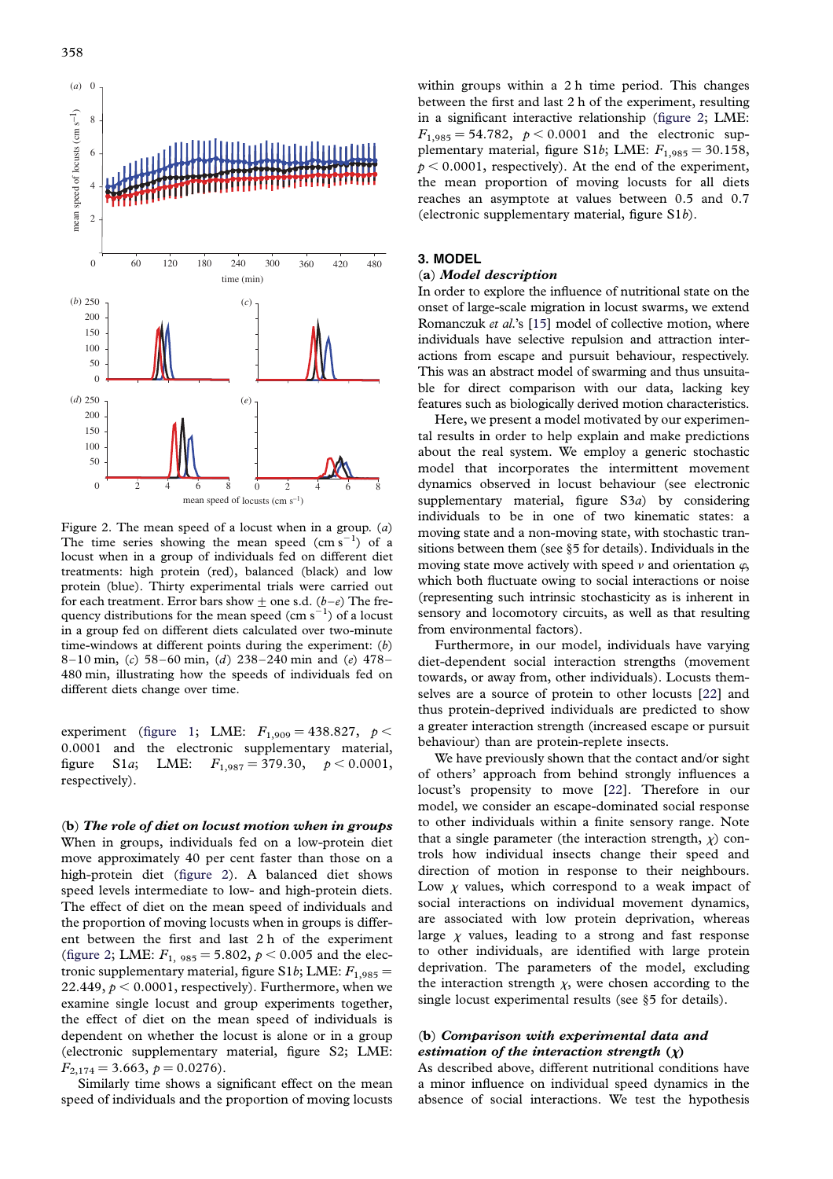

Figure 2. The mean speed of a locust when in a group. (a) The time series showing the mean speed  $\text{cm s}^{-1}$  $'$ ) of a locust when in a group of individuals fed on different diet treatments: high protein (red), balanced (black) and low protein (blue). Thirty experimental trials were carried out for each treatment. Error bars show  $\pm$  one s.d. (b–e) The frequency distributions for the mean speed (cm  $s^{-1}$ ) of a locust in a group fed on different diets calculated over two-minute time-windows at different points during the experiment:  $(b)$ 8–10 min, (c) 58–60 min, (d) 238–240 min and (e)  $478$ – 480 min, illustrating how the speeds of individuals fed on different diets change over time.

experiment (figure 1; LME:  $F_{1,909} = 438.827$ ,  $p <$ 0.0001 and the electronic supplementary material, figure S1*a*; LME:  $F_{1,987} = 379.30, p < 0.0001,$ respectively).

(b) The role of diet on locust motion when in groups When in groups, individuals fed on a low-protein diet move approximately 40 per cent faster than those on a high-protein diet (figure 2). A balanced diet shows speed levels intermediate to low- and high-protein diets. The effect of diet on the mean speed of individuals and the proportion of moving locusts when in groups is different between the first and last 2 h of the experiment (figure 2; LME:  $F_{1, 985} = 5.802$ ,  $p < 0.005$  and the electronic supplementary material, figure S1b; LME:  $F_{1,985}$  = 22.449,  $p < 0.0001$ , respectively). Furthermore, when we examine single locust and group experiments together, the effect of diet on the mean speed of individuals is dependent on whether the locust is alone or in a group (electronic supplementary material, figure S2; LME:  $F_{2,174} = 3.663, p = 0.0276$ .

Similarly time shows a significant effect on the mean speed of individuals and the proportion of moving locusts

within groups within a 2 h time period. This changes between the first and last 2 h of the experiment, resulting in a significant interactive relationship (figure 2; LME:  $F_{1,985} = 54.782$ ,  $p < 0.0001$  and the electronic supplementary material, figure S1b; LME:  $F_{1,985} = 30.158$ ,  $p < 0.0001$ , respectively). At the end of the experiment, the mean proportion of moving locusts for all diets reaches an asymptote at values between 0.5 and 0.7 (electronic supplementary material, figure S1b).

## 3. MODEL

#### (a) Model description

In order to explore the influence of nutritional state on the onset of large-scale migration in locust swarms, we extend Romanczuk et al.'s [15] model of collective motion, where individuals have selective repulsion and attraction interactions from escape and pursuit behaviour, respectively. This was an abstract model of swarming and thus unsuitable for direct comparison with our data, lacking key features such as biologically derived motion characteristics.

Here, we present a model motivated by our experimental results in order to help explain and make predictions about the real system. We employ a generic stochastic model that incorporates the intermittent movement dynamics observed in locust behaviour (see electronic supplementary material, figure S3a) by considering individuals to be in one of two kinematic states: a moving state and a non-moving state, with stochastic transitions between them (see §5 for details). Individuals in the moving state move actively with speed  $\nu$  and orientation  $\varphi$ , which both fluctuate owing to social interactions or noise (representing such intrinsic stochasticity as is inherent in sensory and locomotory circuits, as well as that resulting from environmental factors).

Furthermore, in our model, individuals have varying diet-dependent social interaction strengths (movement towards, or away from, other individuals). Locusts themselves are a source of protein to other locusts [22] and thus protein-deprived individuals are predicted to show a greater interaction strength (increased escape or pursuit behaviour) than are protein-replete insects.

We have previously shown that the contact and/or sight of others' approach from behind strongly influences a locust's propensity to move [22]. Therefore in our model, we consider an escape-dominated social response to other individuals within a finite sensory range. Note that a single parameter (the interaction strength,  $\chi$ ) controls how individual insects change their speed and direction of motion in response to their neighbours. Low  $\chi$  values, which correspond to a weak impact of social interactions on individual movement dynamics, are associated with low protein deprivation, whereas large  $\chi$  values, leading to a strong and fast response to other individuals, are identified with large protein deprivation. The parameters of the model, excluding the interaction strength  $\chi$ , were chosen according to the single locust experimental results (see §5 for details).

## (b) Comparison with experimental data and estimation of the interaction strength  $(y)$

As described above, different nutritional conditions have a minor influence on individual speed dynamics in the absence of social interactions. We test the hypothesis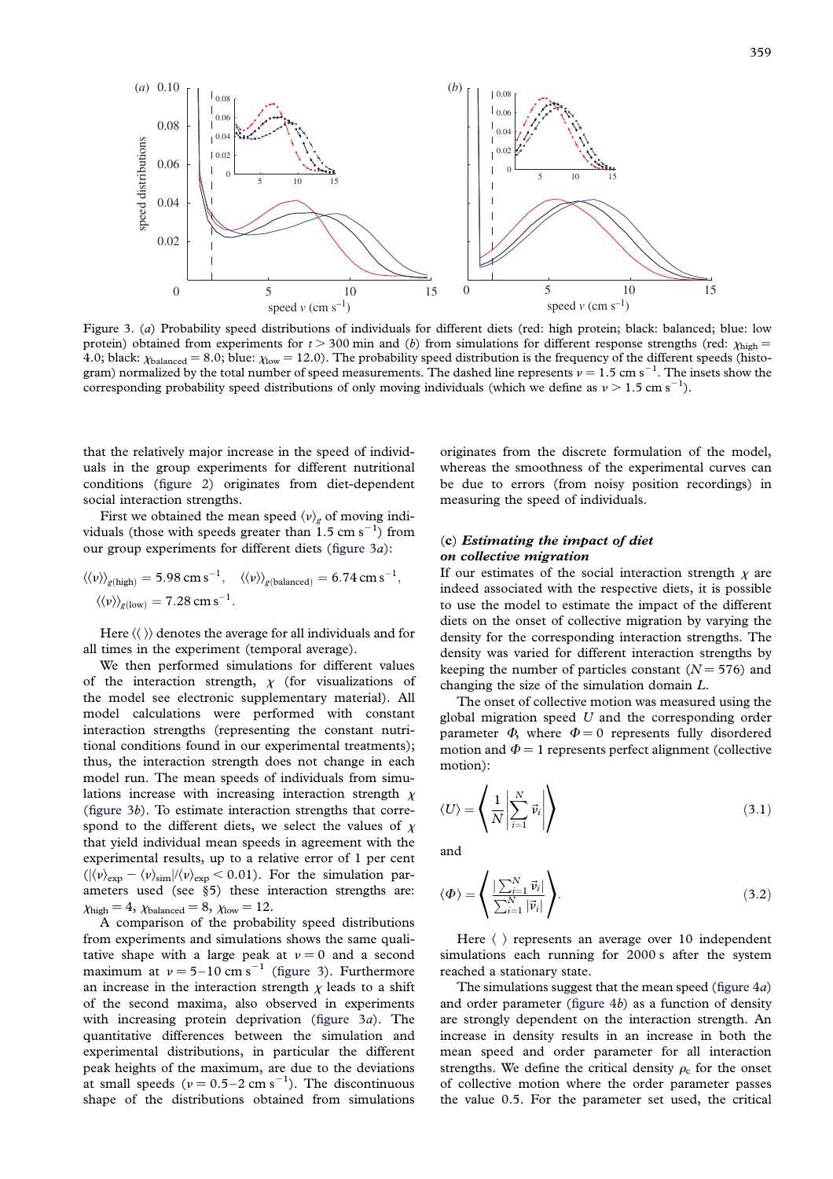

Figure 3. (a) Probability speed distributions of individuals for different diets (red: high protein; black: balanced; blue: low protein) obtained from experiments for  $t > 300$  min and (b) from simulations for different response strengths (red:  $\chi_{\text{high}} =$ 4.0; black:  $\chi_{\text{balanced}} = 8.0$ ; blue:  $\chi_{\text{low}} = 12.0$ ). The probability speed distribution is the frequency of the different speeds (histogram) normalized by the total number of speed measurements. The dashed line represents  $v = 1.5$  cm s<sup>-1</sup>. The insets show the corresponding probability speed distributions of only moving individuals (which we define as  $v > 1.5$  cm s<sup>-1</sup>).

that the relatively major increase in the speed of individuals in the group experiments for different nutritional conditions (figure 2) originates from diet-dependent social interaction strengths.

First we obtained the mean speed  $\langle v \rangle_{\rho}$  of moving individuals (those with speeds greater than  $1.5 \text{ cm s}^{-1}$ ) from our group experiments for different diets (figure 3a):

$$
\langle\langle\nu\rangle\rangle_{g(\text{high})} = 5.98 \text{ cm s}^{-1}, \quad \langle\langle\nu\rangle\rangle_{g(\text{balanced})} = 6.74 \text{ cm s}^{-1},
$$
  

$$
\langle\langle\nu\rangle\rangle_{g(\text{low})} = 7.28 \text{ cm s}^{-1}.
$$

Here  $\langle \langle \rangle \rangle$  denotes the average for all individuals and for all times in the experiment (temporal average).

We then performed simulations for different values of the interaction strength,  $\chi$  (for visualizations of the model see electronic supplementary material). All model calculations were performed with constant interaction strengths (representing the constant nutritional conditions found in our experimental treatments); thus, the interaction strength does not change in each model run. The mean speeds of individuals from simulations increase with increasing interaction strength  $\chi$ (figure 3b). To estimate interaction strengths that correspond to the different diets, we select the values of  $\chi$ that yield individual mean speeds in agreement with the experimental results, up to a relative error of 1 per cent  $(|\langle v \rangle_{\text{exp}} - \langle v \rangle_{\text{sim}})/\langle v \rangle_{\text{exp}} < 0.01$ ). For the simulation parameters used (see §5) these interaction strengths are:  $\chi_{\text{high}} = 4$ ,  $\chi_{\text{balanced}} = 8$ ,  $\chi_{\text{low}} = 12$ .

A comparison of the probability speed distributions from experiments and simulations shows the same qualitative shape with a large peak at  $v = 0$  and a second maximum at  $v = 5-10$  cm s<sup>-1</sup> (figure 3). Furthermore an increase in the interaction strength  $\chi$  leads to a shift of the second maxima, also observed in experiments with increasing protein deprivation (figure 3a). The quantitative differences between the simulation and experimental distributions, in particular the different peak heights of the maximum, are due to the deviations at small speeds  $(\nu = 0.5 - 2 \text{ cm s}^{-1})$ . The discontinuous shape of the distributions obtained from simulations

originates from the discrete formulation of the model, whereas the smoothness of the experimental curves can be due to errors (from noisy position recordings) in measuring the speed of individuals.

## (c) Estimating the impact of diet on collective migration

If our estimates of the social interaction strength  $\chi$  are indeed associated with the respective diets, it is possible to use the model to estimate the impact of the different diets on the onset of collective migration by varying the density for the corresponding interaction strengths. The density was varied for different interaction strengths by keeping the number of particles constant  $(N = 576)$  and changing the size of the simulation domain L.

The onset of collective motion was measured using the global migration speed U and the corresponding order parameter  $\Phi$ , where  $\Phi = 0$  represents fully disordered motion and  $\Phi = 1$  represents perfect alignment (collective motion):

$$
\langle U \rangle = \left\langle \frac{1}{N} \left| \sum_{i=1}^{N} \vec{v}_i \right| \right\rangle \tag{3.1}
$$

and

$$
\langle \Phi \rangle = \left\langle \frac{\left| \sum_{i=1}^{N} \vec{v}_i \right|}{\sum_{i=1}^{N} |\vec{v}_i|} \right\rangle. \tag{3.2}
$$

Here  $\langle \rangle$  represents an average over 10 independent simulations each running for 2000 s after the system reached a stationary state.

The simulations suggest that the mean speed (figure  $4a$ ) and order parameter (figure  $4b$ ) as a function of density are strongly dependent on the interaction strength. An increase in density results in an increase in both the mean speed and order parameter for all interaction strengths. We define the critical density  $\rho_c$  for the onset of collective motion where the order parameter passes the value 0.5. For the parameter set used, the critical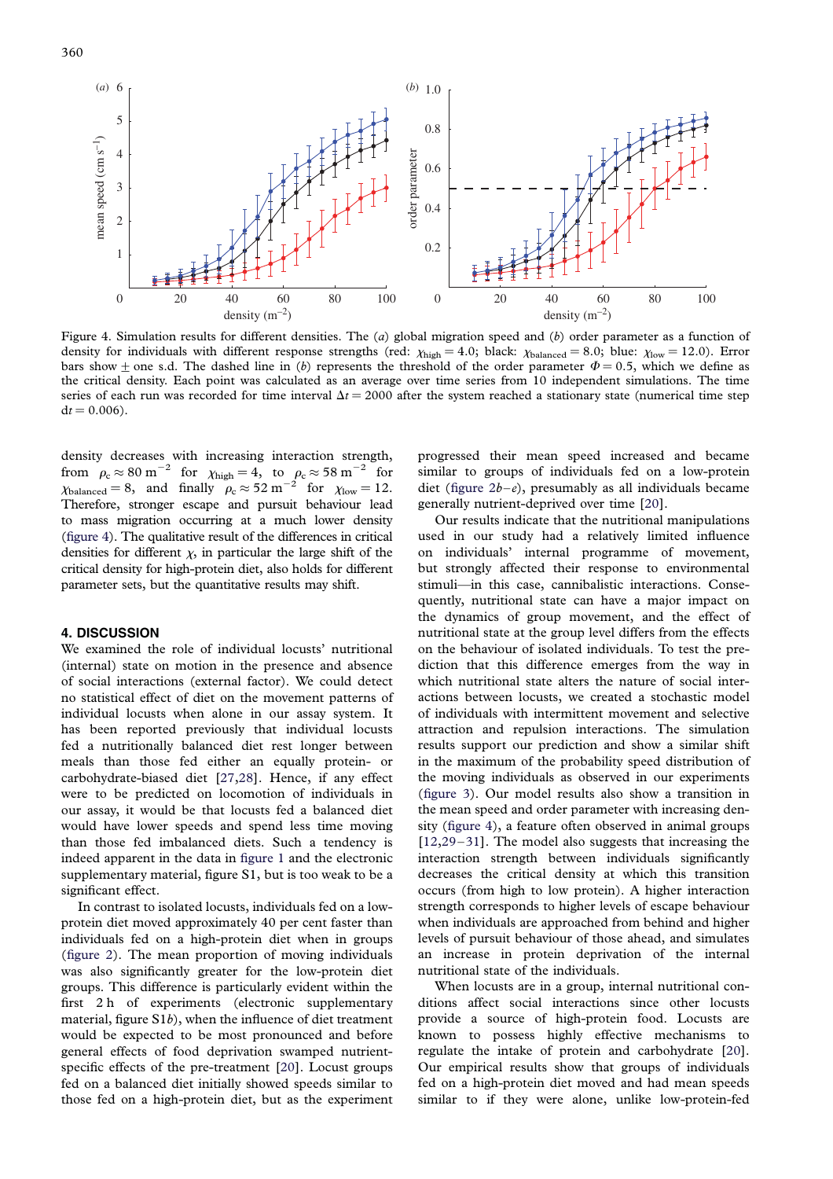

Figure 4. Simulation results for different densities. The  $(a)$  global migration speed and  $(b)$  order parameter as a function of density for individuals with different response strengths (red:  $\chi_{\text{high}} = 4.0$ ; black:  $\chi_{\text{balanced}} = 8.0$ ; blue:  $\chi_{\text{low}} = 12.0$ ). Error bars show  $\pm$  one s.d. The dashed line in (b) represents the threshold of the order parameter  $\Phi = 0.5$ , which we define as the critical density. Each point was calculated as an average over time series from 10 independent simulations. The time series of each run was recorded for time interval  $\Delta t = 2000$  after the system reached a stationary state (numerical time step  $dt = 0.006$ .

density decreases with increasing interaction strength, from  $\rho_c \approx 80 \text{ m}^{-2}$  for  $\chi_{\text{high}} = 4$ , to  $\rho_c \approx 58 \text{ m}^{-2}$  for  $\chi_{\text{balanced}} = 8$ , and finally  $\rho_c \approx 52 \text{ m}^{-2}$  for  $\chi_{\text{low}} = 12$ . Therefore, stronger escape and pursuit behaviour lead to mass migration occurring at a much lower density (figure 4). The qualitative result of the differences in critical densities for different  $\chi$ , in particular the large shift of the critical density for high-protein diet, also holds for different parameter sets, but the quantitative results may shift.

#### 4. DISCUSSION

We examined the role of individual locusts' nutritional (internal) state on motion in the presence and absence of social interactions (external factor). We could detect no statistical effect of diet on the movement patterns of individual locusts when alone in our assay system. It has been reported previously that individual locusts fed a nutritionally balanced diet rest longer between meals than those fed either an equally protein- or carbohydrate-biased diet [27,28]. Hence, if any effect were to be predicted on locomotion of individuals in our assay, it would be that locusts fed a balanced diet would have lower speeds and spend less time moving than those fed imbalanced diets. Such a tendency is indeed apparent in the data in figure 1 and the electronic supplementary material, figure S1, but is too weak to be a significant effect.

In contrast to isolated locusts, individuals fed on a lowprotein diet moved approximately 40 per cent faster than individuals fed on a high-protein diet when in groups (figure 2). The mean proportion of moving individuals was also significantly greater for the low-protein diet groups. This difference is particularly evident within the first 2 h of experiments (electronic supplementary material, figure S1b), when the influence of diet treatment would be expected to be most pronounced and before general effects of food deprivation swamped nutrientspecific effects of the pre-treatment [20]. Locust groups fed on a balanced diet initially showed speeds similar to those fed on a high-protein diet, but as the experiment progressed their mean speed increased and became similar to groups of individuals fed on a low-protein diet (figure  $2b-e$ ), presumably as all individuals became generally nutrient-deprived over time [20].

Our results indicate that the nutritional manipulations used in our study had a relatively limited influence on individuals' internal programme of movement, but strongly affected their response to environmental stimuli—in this case, cannibalistic interactions. Consequently, nutritional state can have a major impact on the dynamics of group movement, and the effect of nutritional state at the group level differs from the effects on the behaviour of isolated individuals. To test the prediction that this difference emerges from the way in which nutritional state alters the nature of social interactions between locusts, we created a stochastic model of individuals with intermittent movement and selective attraction and repulsion interactions. The simulation results support our prediction and show a similar shift in the maximum of the probability speed distribution of the moving individuals as observed in our experiments (figure 3). Our model results also show a transition in the mean speed and order parameter with increasing density (figure 4), a feature often observed in animal groups [12,29–31]. The model also suggests that increasing the interaction strength between individuals significantly decreases the critical density at which this transition occurs (from high to low protein). A higher interaction strength corresponds to higher levels of escape behaviour when individuals are approached from behind and higher levels of pursuit behaviour of those ahead, and simulates an increase in protein deprivation of the internal nutritional state of the individuals.

When locusts are in a group, internal nutritional conditions affect social interactions since other locusts provide a source of high-protein food. Locusts are known to possess highly effective mechanisms to regulate the intake of protein and carbohydrate [20]. Our empirical results show that groups of individuals fed on a high-protein diet moved and had mean speeds similar to if they were alone, unlike low-protein-fed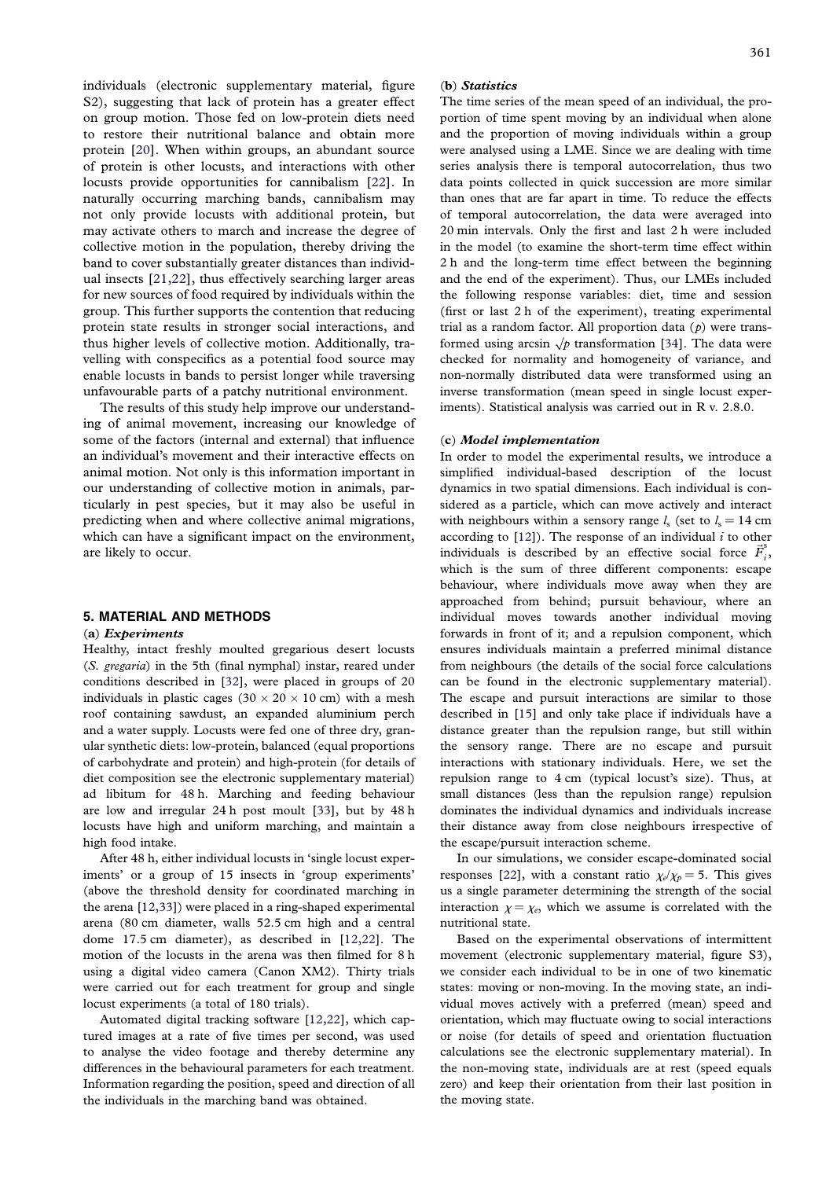individuals (electronic supplementary material, figure S2), suggesting that lack of protein has a greater effect on group motion. Those fed on low-protein diets need to restore their nutritional balance and obtain more protein [20]. When within groups, an abundant source of protein is other locusts, and interactions with other locusts provide opportunities for cannibalism [22]. In naturally occurring marching bands, cannibalism may not only provide locusts with additional protein, but may activate others to march and increase the degree of collective motion in the population, thereby driving the band to cover substantially greater distances than individual insects [21,22], thus effectively searching larger areas for new sources of food required by individuals within the group. This further supports the contention that reducing protein state results in stronger social interactions, and thus higher levels of collective motion. Additionally, travelling with conspecifics as a potential food source may enable locusts in bands to persist longer while traversing unfavourable parts of a patchy nutritional environment.

The results of this study help improve our understanding of animal movement, increasing our knowledge of some of the factors (internal and external) that influence an individual's movement and their interactive effects on animal motion. Not only is this information important in our understanding of collective motion in animals, particularly in pest species, but it may also be useful in predicting when and where collective animal migrations, which can have a significant impact on the environment, are likely to occur.

#### 5. MATERIAL AND METHODS

#### (a) Experiments

Healthy, intact freshly moulted gregarious desert locusts (S. gregaria) in the 5th (final nymphal) instar, reared under conditions described in [32], were placed in groups of 20 individuals in plastic cages  $(30 \times 20 \times 10 \text{ cm})$  with a mesh roof containing sawdust, an expanded aluminium perch and a water supply. Locusts were fed one of three dry, granular synthetic diets: low-protein, balanced (equal proportions of carbohydrate and protein) and high-protein (for details of diet composition see the electronic supplementary material) ad libitum for 48 h. Marching and feeding behaviour are low and irregular 24 h post moult [33], but by 48 h locusts have high and uniform marching, and maintain a high food intake.

After 48 h, either individual locusts in 'single locust experiments' or a group of 15 insects in 'group experiments' (above the threshold density for coordinated marching in the arena [12,33]) were placed in a ring-shaped experimental arena (80 cm diameter, walls 52.5 cm high and a central dome 17.5 cm diameter), as described in [12,22]. The motion of the locusts in the arena was then filmed for 8 h using a digital video camera (Canon XM2). Thirty trials were carried out for each treatment for group and single locust experiments (a total of 180 trials).

Automated digital tracking software [12,22], which captured images at a rate of five times per second, was used to analyse the video footage and thereby determine any differences in the behavioural parameters for each treatment. Information regarding the position, speed and direction of all the individuals in the marching band was obtained.

## (b) Statistics

The time series of the mean speed of an individual, the proportion of time spent moving by an individual when alone and the proportion of moving individuals within a group were analysed using a LME. Since we are dealing with time series analysis there is temporal autocorrelation, thus two data points collected in quick succession are more similar than ones that are far apart in time. To reduce the effects of temporal autocorrelation, the data were averaged into 20 min intervals. Only the first and last 2 h were included in the model (to examine the short-term time effect within 2 h and the long-term time effect between the beginning and the end of the experiment). Thus, our LMEs included the following response variables: diet, time and session (first or last 2 h of the experiment), treating experimental trial as a random factor. All proportion data  $(p)$  were transformed using arcsin  $\sqrt{p}$  transformation [34]. The data were checked for normality and homogeneity of variance, and non-normally distributed data were transformed using an inverse transformation (mean speed in single locust experiments). Statistical analysis was carried out in R v. 2.8.0.

#### (c) Model implementation

In order to model the experimental results, we introduce a simplified individual-based description of the locust dynamics in two spatial dimensions. Each individual is considered as a particle, which can move actively and interact with neighbours within a sensory range  $l_s$  (set to  $l_s = 14$  cm according to  $[12]$ ). The response of an individual i to other individuals is described by an effective social force  $\vec{F}_i^s$ , which is the sum of three different components: escape behaviour, where individuals move away when they are approached from behind; pursuit behaviour, where an individual moves towards another individual moving forwards in front of it; and a repulsion component, which ensures individuals maintain a preferred minimal distance from neighbours (the details of the social force calculations can be found in the electronic supplementary material). The escape and pursuit interactions are similar to those described in [15] and only take place if individuals have a distance greater than the repulsion range, but still within the sensory range. There are no escape and pursuit interactions with stationary individuals. Here, we set the repulsion range to 4 cm (typical locust's size). Thus, at small distances (less than the repulsion range) repulsion dominates the individual dynamics and individuals increase their distance away from close neighbours irrespective of the escape/pursuit interaction scheme.

In our simulations, we consider escape-dominated social responses [22], with a constant ratio  $\chi_e/\chi_p = 5$ . This gives us a single parameter determining the strength of the social interaction  $\chi = \chi_e$ , which we assume is correlated with the nutritional state.

Based on the experimental observations of intermittent movement (electronic supplementary material, figure S3), we consider each individual to be in one of two kinematic states: moving or non-moving. In the moving state, an individual moves actively with a preferred (mean) speed and orientation, which may fluctuate owing to social interactions or noise (for details of speed and orientation fluctuation calculations see the electronic supplementary material). In the non-moving state, individuals are at rest (speed equals zero) and keep their orientation from their last position in the moving state.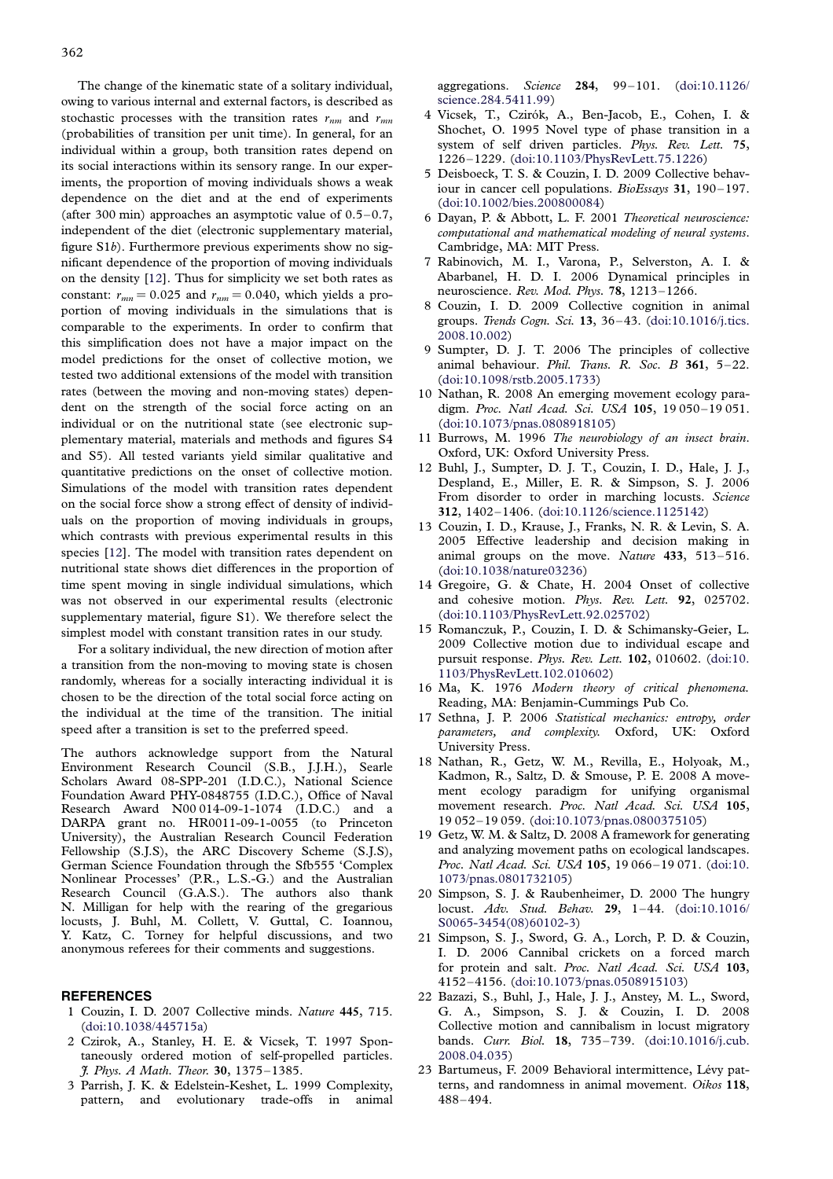The change of the kinematic state of a solitary individual, owing to various internal and external factors, is described as stochastic processes with the transition rates  $r_{nm}$  and  $r_{mn}$ (probabilities of transition per unit time). In general, for an individual within a group, both transition rates depend on its social interactions within its sensory range. In our experiments, the proportion of moving individuals shows a weak dependence on the diet and at the end of experiments (after 300 min) approaches an asymptotic value of 0.5–0.7, independent of the diet (electronic supplementary material, figure S1b). Furthermore previous experiments show no significant dependence of the proportion of moving individuals on the density [12]. Thus for simplicity we set both rates as constant:  $r_{mn} = 0.025$  and  $r_{nm} = 0.040$ , which yields a proportion of moving individuals in the simulations that is comparable to the experiments. In order to confirm that this simplification does not have a major impact on the model predictions for the onset of collective motion, we tested two additional extensions of the model with transition rates (between the moving and non-moving states) dependent on the strength of the social force acting on an individual or on the nutritional state (see electronic supplementary material, materials and methods and figures S4 and S5). All tested variants yield similar qualitative and quantitative predictions on the onset of collective motion. Simulations of the model with transition rates dependent on the social force show a strong effect of density of individuals on the proportion of moving individuals in groups, which contrasts with previous experimental results in this species [12]. The model with transition rates dependent on nutritional state shows diet differences in the proportion of time spent moving in single individual simulations, which was not observed in our experimental results (electronic supplementary material, figure S1). We therefore select the simplest model with constant transition rates in our study.

For a solitary individual, the new direction of motion after a transition from the non-moving to moving state is chosen randomly, whereas for a socially interacting individual it is chosen to be the direction of the total social force acting on the individual at the time of the transition. The initial speed after a transition is set to the preferred speed.

The authors acknowledge support from the Natural Environment Research Council (S.B., J.J.H.), Searle Scholars Award 08-SPP-201 (I.D.C.), National Science Foundation Award PHY-0848755 (I.D.C.), Office of Naval Research Award N00 014-09-1-1074 (I.D.C.) and a DARPA grant no. HR0011-09-1-0055 (to Princeton University), the Australian Research Council Federation Fellowship (S.J.S), the ARC Discovery Scheme (S.J.S), German Science Foundation through the Sfb555 'Complex Nonlinear Processes' (P.R., L.S.-G.) and the Australian Research Council (G.A.S.). The authors also thank N. Milligan for help with the rearing of the gregarious locusts, J. Buhl, M. Collett, V. Guttal, C. Ioannou, Y. Katz, C. Torney for helpful discussions, and two anonymous referees for their comments and suggestions.

### **REFERENCES**

- 1 Couzin, I. D. 2007 Collective minds. Nature 445, 715. (doi:10.1038/445715a)
- 2 Czirok, A., Stanley, H. E. & Vicsek, T. 1997 Spontaneously ordered motion of self-propelled particles. J. Phys. A Math. Theor. 30, 1375–1385.
- 3 Parrish, J. K. & Edelstein-Keshet, L. 1999 Complexity, pattern, and evolutionary trade-offs in animal

aggregations. Science 284, 99–101. (doi:10.1126/ science.284.5411.99)

- 4 Vicsek, T., Czirók, A., Ben-Jacob, E., Cohen, I. & Shochet, O. 1995 Novel type of phase transition in a system of self driven particles. Phys. Rev. Lett. 75, 1226–1229. (doi:10.1103/PhysRevLett.75.1226)
- 5 Deisboeck, T. S. & Couzin, I. D. 2009 Collective behaviour in cancer cell populations. BioEssays 31, 190-197. (doi:10.1002/bies.200800084)
- 6 Dayan, P. & Abbott, L. F. 2001 Theoretical neuroscience: computational and mathematical modeling of neural systems. Cambridge, MA: MIT Press.
- 7 Rabinovich, M. I., Varona, P., Selverston, A. I. & Abarbanel, H. D. I. 2006 Dynamical principles in neuroscience. Rev. Mod. Phys. 78, 1213-1266.
- 8 Couzin, I. D. 2009 Collective cognition in animal groups. Trends Cogn. Sci. 13, 36–43. (doi:10.1016/j.tics. 2008.10.002)
- 9 Sumpter, D. J. T. 2006 The principles of collective animal behaviour. Phil. Trans. R. Soc. B  $361$ ,  $5-22$ . (doi:10.1098/rstb.2005.1733)
- 10 Nathan, R. 2008 An emerging movement ecology paradigm. Proc. Natl Acad. Sci. USA 105, 19050-19051. (doi:10.1073/pnas.0808918105)
- 11 Burrows, M. 1996 The neurobiology of an insect brain. Oxford, UK: Oxford University Press.
- 12 Buhl, J., Sumpter, D. J. T., Couzin, I. D., Hale, J. J., Despland, E., Miller, E. R. & Simpson, S. J. 2006 From disorder to order in marching locusts. Science 312, 1402–1406. (doi:10.1126/science.1125142)
- 13 Couzin, I. D., Krause, J., Franks, N. R. & Levin, S. A. 2005 Effective leadership and decision making in animal groups on the move. Nature 433, 513-516. (doi:10.1038/nature03236)
- 14 Gregoire, G. & Chate, H. 2004 Onset of collective and cohesive motion. Phys. Rev. Lett. 92, 025702. (doi:10.1103/PhysRevLett.92.025702)
- 15 Romanczuk, P., Couzin, I. D. & Schimansky-Geier, L. 2009 Collective motion due to individual escape and pursuit response. Phys. Rev. Lett. 102, 010602. (doi:10. 1103/PhysRevLett.102.010602)
- 16 Ma, K. 1976 Modern theory of critical phenomena. Reading, MA: Benjamin-Cummings Pub Co.
- 17 Sethna, J. P. 2006 Statistical mechanics: entropy, order parameters, and complexity. Oxford, UK: Oxford University Press.
- 18 Nathan, R., Getz, W. M., Revilla, E., Holyoak, M., Kadmon, R., Saltz, D. & Smouse, P. E. 2008 A movement ecology paradigm for unifying organismal movement research. Proc. Natl Acad. Sci. USA 105, 19 052–19 059. (doi:10.1073/pnas.0800375105)
- 19 Getz, W. M. & Saltz, D. 2008 A framework for generating and analyzing movement paths on ecological landscapes. Proc. Natl Acad. Sci. USA 105, 19 066-19 071. (doi:10. 1073/pnas.0801732105)
- 20 Simpson, S. J. & Raubenheimer, D. 2000 The hungry locust. Adv. Stud. Behav. 29, 1–44. (doi:10.1016/ S0065-3454(08)60102-3)
- 21 Simpson, S. J., Sword, G. A., Lorch, P. D. & Couzin, I. D. 2006 Cannibal crickets on a forced march for protein and salt. Proc. Natl Acad. Sci. USA 103, 4152–4156. (doi:10.1073/pnas.0508915103)
- 22 Bazazi, S., Buhl, J., Hale, J. J., Anstey, M. L., Sword, G. A., Simpson, S. J. & Couzin, I. D. 2008 Collective motion and cannibalism in locust migratory bands. Curr. Biol. 18, 735–739. (doi:10.1016/j.cub. 2008.04.035)
- 23 Bartumeus, F. 2009 Behavioral intermittence, Lévy patterns, and randomness in animal movement. Oikos 118, 488 –494.